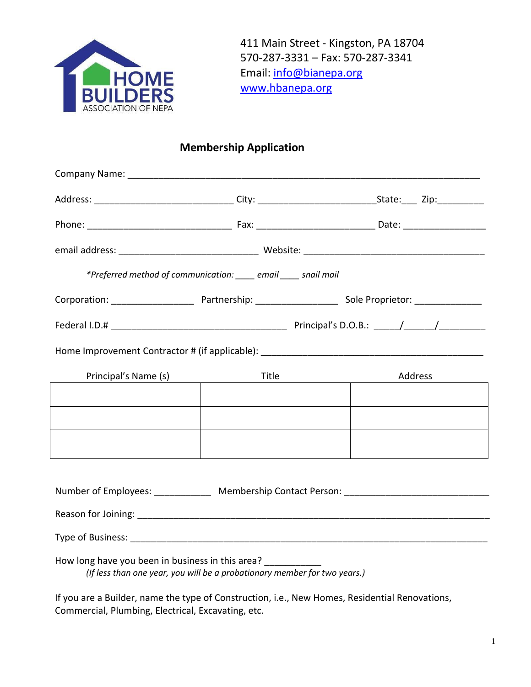

411 Main Street - Kingston, PA 18704 570-287-3331 – Fax: 570-287-3341 Email: [info@bianepa.org](mailto:info@bianepa.org) [www.hbanepa.org](http://www.hbanepa.org/)

# **Membership Application**

| *Preferred method of communication: ____ email ____ snail mail |       |                                                 |  |  |  |  |
|----------------------------------------------------------------|-------|-------------------------------------------------|--|--|--|--|
|                                                                |       |                                                 |  |  |  |  |
|                                                                |       |                                                 |  |  |  |  |
|                                                                |       |                                                 |  |  |  |  |
| Principal's Name (s)                                           | Title | Address                                         |  |  |  |  |
|                                                                |       |                                                 |  |  |  |  |
|                                                                |       |                                                 |  |  |  |  |
|                                                                |       |                                                 |  |  |  |  |
|                                                                |       |                                                 |  |  |  |  |
|                                                                |       | Number of Employees: Membership Contact Person: |  |  |  |  |
|                                                                |       |                                                 |  |  |  |  |
|                                                                |       |                                                 |  |  |  |  |
| How long have you been in business in this area? ___________   |       |                                                 |  |  |  |  |

*(If less than one year, you will be a probationary member for two years.)*

If you are a Builder, name the type of Construction, i.e., New Homes, Residential Renovations, Commercial, Plumbing, Electrical, Excavating, etc.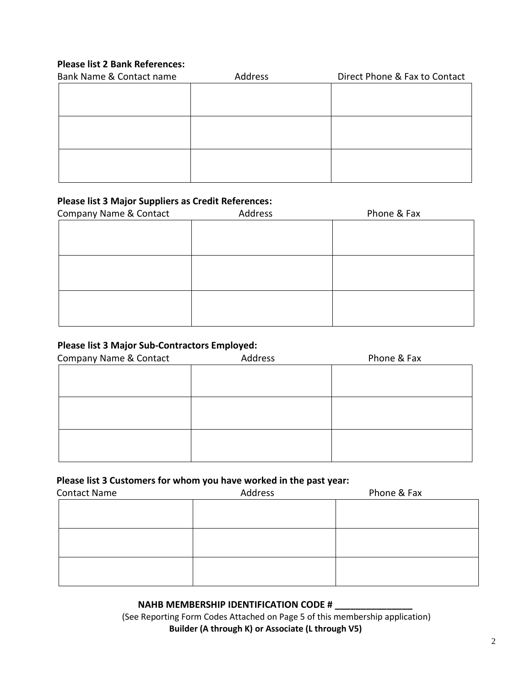### **Please list 2 Bank References:**

| Bank Name & Contact name | Address | Direct Phone & Fax to Contact |  |  |
|--------------------------|---------|-------------------------------|--|--|
|                          |         |                               |  |  |
|                          |         |                               |  |  |
|                          |         |                               |  |  |
|                          |         |                               |  |  |
|                          |         |                               |  |  |
|                          |         |                               |  |  |
|                          |         |                               |  |  |
|                          |         |                               |  |  |

#### **Please list 3 Major Suppliers as Credit References:**

| Company Name & Contact | Address | Phone & Fax |  |  |
|------------------------|---------|-------------|--|--|
|                        |         |             |  |  |
|                        |         |             |  |  |
|                        |         |             |  |  |
|                        |         |             |  |  |
|                        |         |             |  |  |
|                        |         |             |  |  |
|                        |         |             |  |  |
|                        |         |             |  |  |

#### **Please list 3 Major Sub-Contractors Employed:**

| Company Name & Contact | Address | Phone & Fax |  |
|------------------------|---------|-------------|--|
|                        |         |             |  |
|                        |         |             |  |
|                        |         |             |  |
|                        |         |             |  |
|                        |         |             |  |
|                        |         |             |  |
|                        |         |             |  |

#### **Please list 3 Customers for whom you have worked in the past year:**

| <b>Contact Name</b> | Address | -<br>Phone & Fax |
|---------------------|---------|------------------|
|                     |         |                  |
|                     |         |                  |
|                     |         |                  |
|                     |         |                  |
|                     |         |                  |
|                     |         |                  |

#### **NAHB MEMBERSHIP IDENTIFICATION CODE # \_\_\_\_\_\_\_\_\_\_\_\_\_\_\_**

(See Reporting Form Codes Attached on Page 5 of this membership application) **Builder (A through K) or Associate (L through V5)**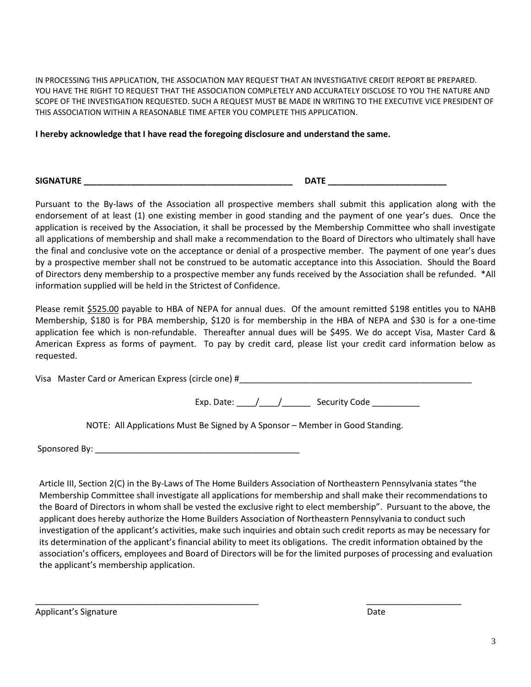IN PROCESSING THIS APPLICATION, THE ASSOCIATION MAY REQUEST THAT AN INVESTIGATIVE CREDIT REPORT BE PREPARED. YOU HAVE THE RIGHT TO REQUEST THAT THE ASSOCIATION COMPLETELY AND ACCURATELY DISCLOSE TO YOU THE NATURE AND SCOPE OF THE INVESTIGATION REQUESTED. SUCH A REQUEST MUST BE MADE IN WRITING TO THE EXECUTIVE VICE PRESIDENT OF THIS ASSOCIATION WITHIN A REASONABLE TIME AFTER YOU COMPLETE THIS APPLICATION.

**I hereby acknowledge that I have read the foregoing disclosure and understand the same.**

**SIGNATURE \_\_\_\_\_\_\_\_\_\_\_\_\_\_\_\_\_\_\_\_\_\_\_\_\_\_\_\_\_\_\_\_\_\_\_\_\_\_\_\_\_\_\_\_ DATE \_\_\_\_\_\_\_\_\_\_\_\_\_\_\_\_\_\_\_\_\_\_\_\_\_**

Pursuant to the By-laws of the Association all prospective members shall submit this application along with the endorsement of at least (1) one existing member in good standing and the payment of one year's dues. Once the application is received by the Association, it shall be processed by the Membership Committee who shall investigate all applications of membership and shall make a recommendation to the Board of Directors who ultimately shall have the final and conclusive vote on the acceptance or denial of a prospective member. The payment of one year's dues by a prospective member shall not be construed to be automatic acceptance into this Association. Should the Board of Directors deny membership to a prospective member any funds received by the Association shall be refunded. \*All information supplied will be held in the Strictest of Confidence.

 Please remit \$525.00 payable to HBA of NEPA for annual dues. Of the amount remitted \$198 entitles you to NAHB Membership, \$180 is for PBA membership, \$120 is for membership in the HBA of NEPA and \$30 is for a one-time application fee which is non-refundable. Thereafter annual dues will be \$495. We do accept Visa, Master Card & American Express as forms of payment. To pay by credit card, please list your credit card information below as requested.

Visa Master Card or American Express (circle one) # \_\_\_\_\_\_\_\_\_\_\_\_\_\_\_\_\_\_\_\_\_\_\_\_\_\_\_\_

Exp. Date:  $\left/ \right/ \left/ \right.$  Security Code

NOTE: All Applications Must Be Signed by A Sponsor – Member in Good Standing.

Sponsored By:  $\Box$ 

Article III, Section 2(C) in the By-Laws of The Home Builders Association of Northeastern Pennsylvania states "the Membership Committee shall investigate all applications for membership and shall make their recommendations to the Board of Directors in whom shall be vested the exclusive right to elect membership". Pursuant to the above, the applicant does hereby authorize the Home Builders Association of Northeastern Pennsylvania to conduct such investigation of the applicant's activities, make such inquiries and obtain such credit reports as may be necessary for its determination of the applicant's financial ability to meet its obligations. The credit information obtained by the association's officers, employees and Board of Directors will be for the limited purposes of processing and evaluation the applicant's membership application.

\_\_\_\_\_\_\_\_\_\_\_\_\_\_\_\_\_\_\_\_\_\_\_\_\_\_\_\_\_\_\_\_\_\_\_\_\_\_\_\_\_\_\_\_\_\_\_ \_\_\_\_\_\_\_\_\_\_\_\_\_\_\_\_\_\_\_\_

Applicant's Signature Date Date of the Date of the Date Date of the Date Date of the Date of the Date of the Date of the Date of the Date of the Date of the Date of the Date of the Date of the Date of the Date of the Date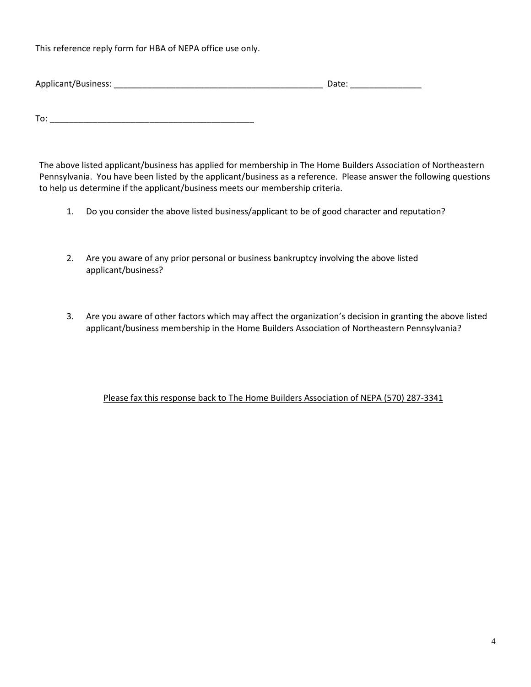This reference reply form for HBA of NEPA office use only.

| Applicant/Business: |  |  |
|---------------------|--|--|
|                     |  |  |

To: \_\_\_\_\_\_\_\_\_\_\_\_\_\_\_\_\_\_\_\_\_\_\_\_\_\_\_\_\_\_\_\_\_\_\_\_\_\_\_\_\_\_\_

The above listed applicant/business has applied for membership in The Home Builders Association of Northeastern Pennsylvania. You have been listed by the applicant/business as a reference. Please answer the following questions to help us determine if the applicant/business meets our membership criteria.

- 1. Do you consider the above listed business/applicant to be of good character and reputation?
- 2. Are you aware of any prior personal or business bankruptcy involving the above listed applicant/business?
- 3. Are you aware of other factors which may affect the organization's decision in granting the above listed applicant/business membership in the Home Builders Association of Northeastern Pennsylvania?

Please fax this response back to The Home Builders Association of NEPA (570) 287-3341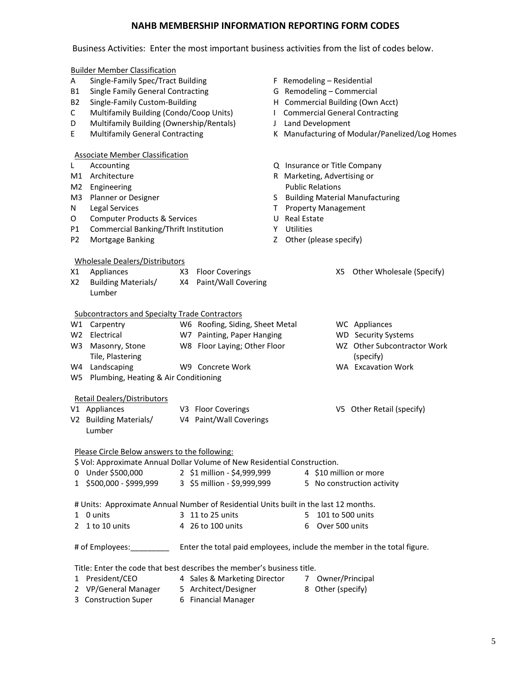## **NAHB MEMBERSHIP INFORMATION REPORTING FORM CODES**

#### Business Activities: Enter the most important business activities from the list of codes below.

|                | <b>Builder Member Classification</b>                                                                                       |                      |                                 |                                                |                                                                                      |  |  |
|----------------|----------------------------------------------------------------------------------------------------------------------------|----------------------|---------------------------------|------------------------------------------------|--------------------------------------------------------------------------------------|--|--|
| A              | Single-Family Spec/Tract Building                                                                                          |                      |                                 | F Remodeling - Residential                     |                                                                                      |  |  |
| <b>B1</b>      | <b>Single Family General Contracting</b>                                                                                   |                      |                                 | G Remodeling - Commercial                      |                                                                                      |  |  |
| <b>B2</b>      | Single-Family Custom-Building                                                                                              |                      |                                 |                                                | H Commercial Building (Own Acct)                                                     |  |  |
| C              | Multifamily Building (Condo/Coop Units)                                                                                    |                      |                                 |                                                | I Commercial General Contracting                                                     |  |  |
| D              | Multifamily Building (Ownership/Rentals)                                                                                   |                      |                                 |                                                | J Land Development                                                                   |  |  |
| E              | <b>Multifamily General Contracting</b>                                                                                     |                      |                                 | K Manufacturing of Modular/Panelized/Log Homes |                                                                                      |  |  |
|                | <b>Associate Member Classification</b>                                                                                     |                      |                                 |                                                |                                                                                      |  |  |
| L              | Accounting                                                                                                                 |                      |                                 |                                                | Q Insurance or Title Company                                                         |  |  |
|                | M1 Architecture                                                                                                            |                      |                                 |                                                | R Marketing, Advertising or                                                          |  |  |
| M2             | Engineering                                                                                                                |                      |                                 |                                                | <b>Public Relations</b><br>S Building Material Manufacturing                         |  |  |
| M3             | Planner or Designer                                                                                                        |                      |                                 |                                                |                                                                                      |  |  |
| N              | <b>Legal Services</b>                                                                                                      |                      |                                 |                                                | T Property Management                                                                |  |  |
| О              | <b>Computer Products &amp; Services</b>                                                                                    |                      |                                 |                                                | U Real Estate                                                                        |  |  |
| P1             | Commercial Banking/Thrift Institution                                                                                      |                      |                                 |                                                | Y Utilities                                                                          |  |  |
| P <sub>2</sub> | Mortgage Banking                                                                                                           |                      |                                 | Z.                                             | Other (please specify)                                                               |  |  |
|                | <b>Wholesale Dealers/Distributors</b>                                                                                      |                      |                                 |                                                |                                                                                      |  |  |
| X1             | Appliances                                                                                                                 |                      | X3 Floor Coverings              |                                                | Other Wholesale (Specify)<br>X5.                                                     |  |  |
| X2             | <b>Building Materials/</b>                                                                                                 | X4                   | Paint/Wall Covering             |                                                |                                                                                      |  |  |
|                | Lumber                                                                                                                     |                      |                                 |                                                |                                                                                      |  |  |
|                | <b>Subcontractors and Specialty Trade Contractors</b>                                                                      |                      |                                 |                                                |                                                                                      |  |  |
|                | W1 Carpentry                                                                                                               |                      | W6 Roofing, Siding, Sheet Metal |                                                | WC Appliances                                                                        |  |  |
|                | W2 Electrical                                                                                                              |                      | W7 Painting, Paper Hanging      |                                                | <b>WD</b> Security Systems                                                           |  |  |
|                | W3 Masonry, Stone                                                                                                          |                      | W8 Floor Laying; Other Floor    |                                                | WZ Other Subcontractor Work                                                          |  |  |
|                | Tile, Plastering                                                                                                           |                      |                                 |                                                | (specify)                                                                            |  |  |
|                | W4 Landscaping                                                                                                             |                      | W9 Concrete Work                |                                                | <b>WA</b> Excavation Work                                                            |  |  |
| W5             | Plumbing, Heating & Air Conditioning                                                                                       |                      |                                 |                                                |                                                                                      |  |  |
|                | <b>Retail Dealers/Distributors</b>                                                                                         |                      |                                 |                                                |                                                                                      |  |  |
|                | V1 Appliances                                                                                                              |                      | V3 Floor Coverings              |                                                | V5 Other Retail (specify)                                                            |  |  |
|                | V2 Building Materials/                                                                                                     |                      | V4 Paint/Wall Coverings         |                                                |                                                                                      |  |  |
|                | Lumber                                                                                                                     |                      |                                 |                                                |                                                                                      |  |  |
|                |                                                                                                                            |                      |                                 |                                                |                                                                                      |  |  |
|                | Please Circle Below answers to the following:<br>\$ Vol: Approximate Annual Dollar Volume of New Residential Construction. |                      |                                 |                                                |                                                                                      |  |  |
|                | 0 Under \$500,000                                                                                                          |                      | 2 \$1 million - \$4,999,999     |                                                | 4 \$10 million or more                                                               |  |  |
| $1 \ \nu$      | \$500,000 - \$999,999                                                                                                      |                      | 3 \$5 million - \$9,999,999     |                                                | 5 No construction activity                                                           |  |  |
|                |                                                                                                                            |                      |                                 |                                                |                                                                                      |  |  |
|                |                                                                                                                            |                      |                                 |                                                | # Units: Approximate Annual Number of Residential Units built in the last 12 months. |  |  |
|                | 1 0 units                                                                                                                  |                      | 3 11 to 25 units                |                                                | 5 101 to 500 units                                                                   |  |  |
|                | 2 1 to 10 units                                                                                                            |                      | 4 26 to 100 units               |                                                | Over 500 units<br>6                                                                  |  |  |
|                | # of Employees: __________                                                                                                 |                      |                                 |                                                | Enter the total paid employees, include the member in the total figure.              |  |  |
|                | Title: Enter the code that best describes the member's business title.                                                     |                      |                                 |                                                |                                                                                      |  |  |
|                | 1 President/CEO                                                                                                            |                      | 4 Sales & Marketing Director    |                                                | Owner/Principal<br>7                                                                 |  |  |
|                | 2 VP/General Manager                                                                                                       | 5 Architect/Designer |                                 |                                                | 8 Other (specify)                                                                    |  |  |
| 3.             | <b>Construction Super</b>                                                                                                  |                      | 6 Financial Manager             |                                                |                                                                                      |  |  |
|                |                                                                                                                            |                      |                                 |                                                |                                                                                      |  |  |